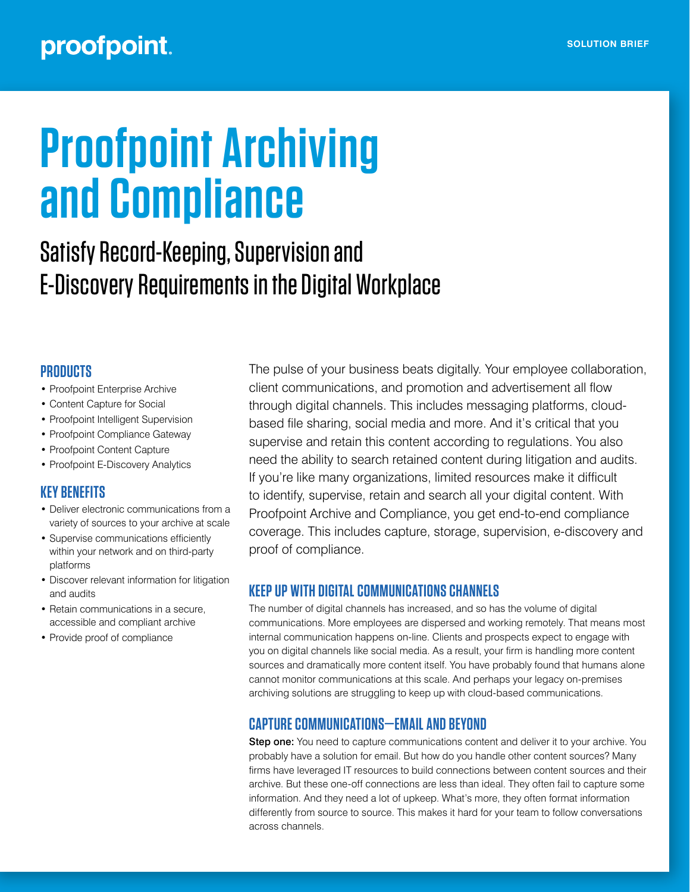## proofpoint.

# **Proofpoint Archiving and Compliance**

## Satisfy Record-Keeping, Supervision and E-Discovery Requirements in the Digital Workplace

#### **PRODUCTS**

- Proofpoint Enterprise Archive
- Content Capture for Social
- Proofpoint Intelligent Supervision
- Proofpoint Compliance Gateway
- Proofpoint Content Capture
- Proofpoint E-Discovery Analytics

#### **KEY BENEFITS**

- Deliver electronic communications from a variety of sources to your archive at scale
- Supervise communications efficiently within your network and on third-party platforms
- Discover relevant information for litigation and audits
- Retain communications in a secure, accessible and compliant archive
- Provide proof of compliance

The pulse of your business beats digitally. Your employee collaboration, client communications, and promotion and advertisement all flow through digital channels. This includes messaging platforms, cloudbased file sharing, social media and more. And it's critical that you supervise and retain this content according to regulations. You also need the ability to search retained content during litigation and audits. If you're like many organizations, limited resources make it difficult to identify, supervise, retain and search all your digital content. With Proofpoint Archive and Compliance, you get end-to-end compliance coverage. This includes capture, storage, supervision, e-discovery and proof of compliance.

#### **KEEP UP WITH DIGITAL COMMUNICATIONS CHANNELS**

The number of digital channels has increased, and so has the volume of digital communications. More employees are dispersed and working remotely. That means most internal communication happens on-line. Clients and prospects expect to engage with you on digital channels like social media. As a result, your firm is handling more content sources and dramatically more content itself. You have probably found that humans alone cannot monitor communications at this scale. And perhaps your legacy on-premises archiving solutions are struggling to keep up with cloud-based communications.

#### **CAPTURE COMMUNICATIONS—EMAIL AND BEYOND**

Step one: You need to capture communications content and deliver it to your archive. You probably have a solution for email. But how do you handle other content sources? Many firms have leveraged IT resources to build connections between content sources and their archive. But these one-off connections are less than ideal. They often fail to capture some information. And they need a lot of upkeep. What's more, they often format information differently from source to source. This makes it hard for your team to follow conversations across channels.